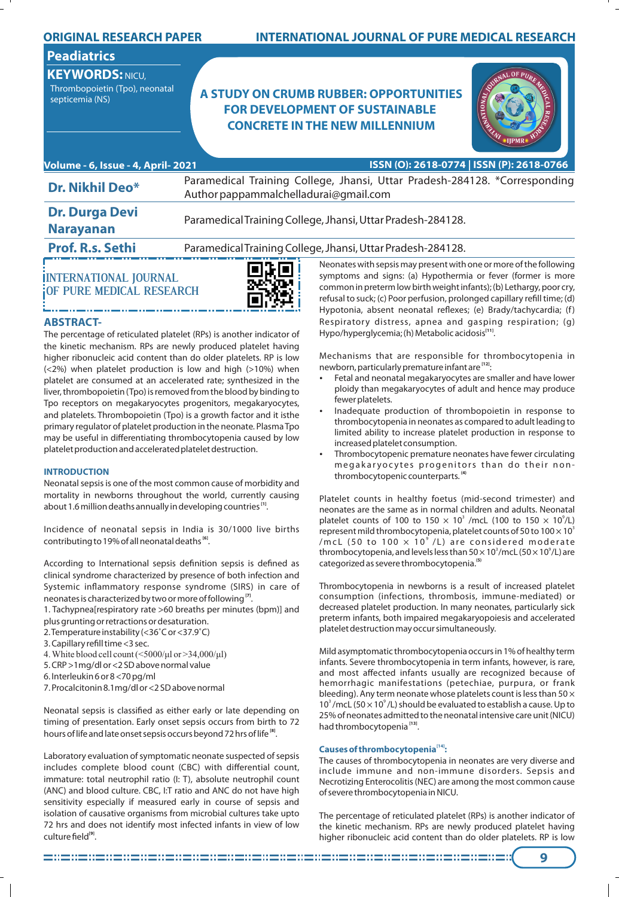| <b>ORIGINAL RESEARCH PAPER</b>                                                                    |                                       | <b>INTERNATIONAL JOURNAL OF PURE MEDICAL RESEARCH</b>                                                                                                                                                                                                                                                                                                      |
|---------------------------------------------------------------------------------------------------|---------------------------------------|------------------------------------------------------------------------------------------------------------------------------------------------------------------------------------------------------------------------------------------------------------------------------------------------------------------------------------------------------------|
| <b>Peadiatrics</b><br><b>KEYWORDS: NICU,</b><br>Thrombopoietin (Tpo), neonatal<br>septicemia (NS) |                                       | <b>A STUDY ON CRUMB RUBBER: OPPORTUNITIES</b><br><b>FOR DEVELOPMENT OF SUSTAINABLE</b><br><b>CONCRETE IN THE NEW MILLENNIUM</b><br><b>IIPMR</b>                                                                                                                                                                                                            |
| Volume - 6, Issue - 4, April- 2021                                                                |                                       | ISSN (O): 2618-0774   ISSN (P): 2618-0766                                                                                                                                                                                                                                                                                                                  |
| <b>Dr. Nikhil Deo*</b>                                                                            | Author pappammalchelladurai@gmail.com | Paramedical Training College, Jhansi, Uttar Pradesh-284128. *Corresponding                                                                                                                                                                                                                                                                                 |
| <b>Dr. Durga Devi</b><br><b>Narayanan</b>                                                         |                                       | Paramedical Training College, Jhansi, Uttar Pradesh-284128.                                                                                                                                                                                                                                                                                                |
| <b>Prof. R.s. Sethi</b>                                                                           |                                       | Paramedical Training College, Jhansi, Uttar Pradesh-284128.                                                                                                                                                                                                                                                                                                |
| <b>INTERNATIONAL JOURNAL</b><br><b>OF PURE MEDICAL RESEARCH</b>                                   |                                       | Neonates with sepsis may present with one or more of the following<br>symptoms and signs: (a) Hypothermia or fever (former is more<br>common in preterm low birth weight infants); (b) Lethargy, poor cry,<br>refusal to suck; (c) Poor perfusion, prolonged capillary refill time; (d)<br>Hypotonia, absent neonatal reflexes; (e) Brady/tachycardia; (f) |

# **ABSTRACT-**

The percentage of reticulated platelet (RPs) is another indicator of the kinetic mechanism. RPs are newly produced platelet having higher ribonucleic acid content than do older platelets. RP is low (<2%) when platelet production is low and high (>10%) when platelet are consumed at an accelerated rate; synthesized in the liver, thrombopoietin (Tpo) is removed from the blood by binding to Tpo receptors on megakaryocytes progenitors, megakaryocytes, and platelets. Thrombopoietin (Tpo) is a growth factor and it isthe primary regulator of platelet production in the neonate. Plasma Tpo may be useful in differentiating thrombocytopenia caused by low platelet production and accelerated platelet destruction.

# **INTRODUCTION**

Neonatal sepsis is one of the most common cause of morbidity and mortality in newborns throughout the world, currently causing about 1.6 million deaths annually in developing countries<sup>[1]</sup>.

Incidence of neonatal sepsis in India is 30/1000 live births contributing to 19% of all neonatal deaths<sup>[6]</sup>.

According to International sepsis definition sepsis is defined as clinical syndrome characterized by presence of both infection and Systemic inflammatory response syndrome (SIRS) in care of neonates is characterized by two or more of following<sup>[7]</sup>.

1. Tachypnea[respiratory rate >60 breaths per minutes (bpm)] and plus grunting or retractions or desaturation.

- 2. Temperature instability (<36˚C or <37.9˚C)
- 3. Capillary refill time <3 sec.
- 4. White blood cell count  $(\leq 5000/\mu l)$  or  $> 34,000/\mu l$ )
- 5. CRP >1mg/dl or <2 SD above normal value
- 6. Interleukin 6 or 8 <70 pg/ml
- 7. Procalcitonin 8.1mg/dl or <2 SD above normal

Neonatal sepsis is classified as either early or late depending on timing of presentation. Early onset sepsis occurs from birth to 72 hours of life and late onset sepsis occurs beyond 72 hrs of life<sup>[8]</sup>.

Laboratory evaluation of symptomatic neonate suspected of sepsis includes complete blood count (CBC) with differential count, immature: total neutrophil ratio (I: T), absolute neutrophil count (ANC) and blood culture. CBC, I:T ratio and ANC do not have high sensitivity especially if measured early in course of sepsis and isolation of causative organisms from microbial cultures take upto 72 hrs and does not identify most infected infants in view of low culture field<sup>[9]</sup>.

Neonates with sepsis may present with one or more of the following symptoms and signs: (a) Hypothermia or fever (former is more common in preterm low birth weight infants); (b) Lethargy, poor cry, refusal to suck; (c) Poor perfusion, prolonged capillary refill time; (d) Hypotonia, absent neonatal reflexes; (e) Brady/tachycardia; (f) Respiratory distress, apnea and gasping respiration; (g) Hypo/hyperglycemia; (h) Metabolic acidosis<sup>[11]</sup>.

Mechanisms that are responsible for thrombocytopenia in newborn, particularly premature infant are <sup>[12]</sup>:

- Fetal and neonatal megakaryocytes are smaller and have lower ploidy than megakaryocytes of adult and hence may produce fewer platelets.
- Inadequate production of thrombopoietin in response to thrombocytopenia in neonates as compared to adult leading to limited ability to increase platelet production in response to increased platelet consumption.
- Thrombocytopenic premature neonates have fewer circulating megakaryocytes progenitors than do their non-**(4)** thrombocytopenic counterparts.

Platelet counts in healthy foetus (mid-second trimester) and neonates are the same as in normal children and adults. Neonatal platelet counts of 100 to 150  $\times$  10<sup>3</sup> /mcL (100 to 150  $\times$  10<sup>9</sup>/L) represent mild thrombocytopenia, platelet counts of 50 to 100  $\times$  10<sup>3</sup> /mcL (50 to 100  $\times$  10 $^{\circ}$  /L) are considered moderate thrombocytopenia, and levels less than  $50 \times 10^3$ /mcL ( $50 \times 10^9$ /L) are **(5)** categorized as severe thrombocytopenia.

Thrombocytopenia in newborns is a result of increased platelet consumption (infections, thrombosis, immune-mediated) or decreased platelet production. In many neonates, particularly sick preterm infants, both impaired megakaryopoiesis and accelerated platelet destruction may occur simultaneously.

Mild asymptomatic thrombocytopenia occurs in 1% of healthy term infants. Severe thrombocytopenia in term infants, however, is rare, and most affected infants usually are recognized because of hemorrhagic manifestations (petechiae, purpura, or frank bleeding). Any term neonate whose platelets count is less than 50  $\times$ 10<sup>3</sup>/mcL (50  $\times$  10<sup>9</sup>/L) should be evaluated to establish a cause. Up to 25% of neonates admitted to the neonatal intensive care unit (NICU) had thrombocytopenia<sup>[13]</sup>.

# **[14] Causes of thrombocytopenia :**

The causes of thrombocytopenia in neonates are very diverse and include immune and non-immune disorders. Sepsis and Necrotizing Enterocolitis (NEC) are among the most common cause of severe thrombocytopenia in NICU.

The percentage of reticulated platelet (RPs) is another indicator of the kinetic mechanism. RPs are newly produced platelet having higher ribonucleic acid content than do older platelets. RP is low

**9**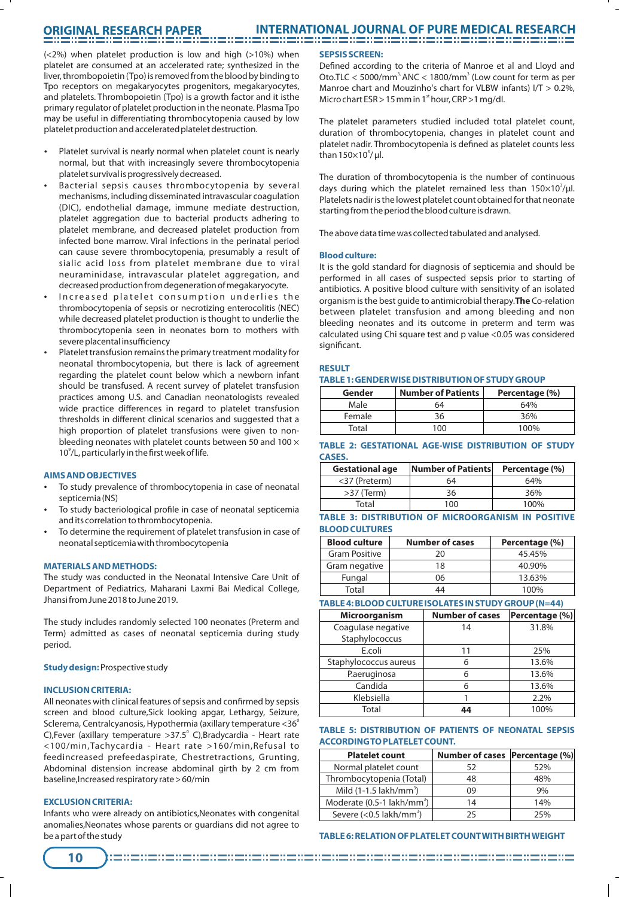# **ORIGINAL RESEARCH PAPER**

(<2%) when platelet production is low and high (>10%) when platelet are consumed at an accelerated rate; synthesized in the liver, thrombopoietin (Tpo) is removed from the blood by binding to Tpo receptors on megakaryocytes progenitors, megakaryocytes, and platelets. Thrombopoietin (Tpo) is a growth factor and it isthe primary regulator of platelet production in the neonate. Plasma Tpo may be useful in differentiating thrombocytopenia caused by low platelet production and accelerated platelet destruction.

- Platelet survival is nearly normal when platelet count is nearly normal, but that with increasingly severe thrombocytopenia platelet survival is progressively decreased.
- Bacterial sepsis causes thrombocytopenia by several mechanisms, including disseminated intravascular coagulation (DIC), endothelial damage, immune mediate destruction, platelet aggregation due to bacterial products adhering to platelet membrane, and decreased platelet production from infected bone marrow. Viral infections in the perinatal period can cause severe thrombocytopenia, presumably a result of sialic acid loss from platelet membrane due to viral neuraminidase, intravascular platelet aggregation, and decreased production from degeneration of megakaryocyte.
- Increased platelet consumption underlies the thrombocytopenia of sepsis or necrotizing enterocolitis (NEC) while decreased platelet production is thought to underlie the thrombocytopenia seen in neonates born to mothers with severe placental insufficiency
- Platelet transfusion remains the primary treatment modality for neonatal thrombocytopenia, but there is lack of agreement regarding the platelet count below which a newborn infant should be transfused. A recent survey of platelet transfusion practices among U.S. and Canadian neonatologists revealed wide practice differences in regard to platelet transfusion thresholds in different clinical scenarios and suggested that a high proportion of platelet transfusions were given to nonbleeding neonates with platelet counts between 50 and 100 × 10<sup>9</sup>/L, particularly in the first week of life.

## **AIMS AND OBJECTIVES**

- To study prevalence of thrombocytopenia in case of neonatal septicemia (NS)
- To study bacteriological profile in case of neonatal septicemia and its correlation to thrombocytopenia.
- To determine the requirement of platelet transfusion in case of neonatal septicemia with thrombocytopenia

## **MATERIALS AND METHODS:**

The study was conducted in the Neonatal Intensive Care Unit of Department of Pediatrics, Maharani Laxmi Bai Medical College, Jhansi from June 2018 to June 2019.

The study includes randomly selected 100 neonates (Preterm and Term) admitted as cases of neonatal septicemia during study period.

## **Study design:**Prospective study

## **INCLUSION CRITERIA:**

All neonates with clinical features of sepsis and confirmed by sepsis screen and blood culture,Sick looking apgar, Lethargy, Seizure, Sclerema, Centralcyanosis, Hypothermia (axillary temperature  $<$ 36 $^{\circ}$ C),Fever (axillary temperature > 37.5° C), Bradycardia - Heart rate <100/min,Tachycardia - Heart rate >160/min,Refusal to feedincreased prefeedaspirate, Chestretractions, Grunting, Abdominal distension increase abdominal girth by 2 cm from baseline,Increased respiratory rate > 60/min

## **EXCLUSION CRITERIA:**

Infants who were already on antibiotics,Neonates with congenital anomalies,Neonates whose parents or guardians did not agree to be a part of the study

## **SEPSIS SCREEN:**

Defined according to the criteria of Manroe et al and Lloyd and Oto.TLC  $<$  5000/mm<sup>3</sup> ANC  $<$  1800/mm<sup>3</sup> (Low count for term as per Manroe chart and Mouzinho's chart for VLBW infants) I/T > 0.2%, Micro chart  $ESR > 15$  mm in 1<sup>st</sup> hour, CRP  $>1$  mg/dl.

The platelet parameters studied included total platelet count, duration of thrombocytopenia, changes in platelet count and platelet nadir. Thrombocytopenia is defined as platelet counts less than  $150\times10^3/\mu l$ .

The duration of thrombocytopenia is the number of continuous days during which the platelet remained less than  $150\times10^3/\mu l$ . Platelets nadir is the lowest platelet count obtained for that neonate starting from the period the blood culture is drawn.

The above data time was collected tabulated and analysed.

### **Blood culture:**

It is the gold standard for diagnosis of septicemia and should be performed in all cases of suspected sepsis prior to starting of antibiotics. A positive blood culture with sensitivity of an isolated organism is the best guide to antimicrobial therapy.**The** Co-relation between platelet transfusion and among bleeding and non bleeding neonates and its outcome in preterm and term was calculated using Chi square test and p value <0.05 was considered significant.

## **RESULT**

|  | TABLE 1: GENDER WISE DISTRIBUTION OF STUDY GROUP |  |
|--|--------------------------------------------------|--|
|--|--------------------------------------------------|--|

| Gender | <b>Number of Patients</b> | Percentage (%) |
|--------|---------------------------|----------------|
| Male   | 64                        | 64%            |
| Female | 36                        | 36%            |
| Total  | 100                       | 100%           |

|               |  |  | TABLE 2: GESTATIONAL AGE-WISE DISTRIBUTION OF STUDY |  |
|---------------|--|--|-----------------------------------------------------|--|
| <b>CASES.</b> |  |  |                                                     |  |

| <b>Gestational age</b> | Number of Patients | Percentage (%) |
|------------------------|--------------------|----------------|
| <37 (Preterm)          | 64                 | 64%            |
| $>37$ (Term)           | 36                 | 36%            |
| Total                  | 100                | 100%           |

# **TABLE 3: DISTRIBUTION OF MICROORGANISM IN POSITIVE BLOOD CULTURES**

| <b>Blood culture</b> | <b>Number of cases</b> | Percentage (%) |
|----------------------|------------------------|----------------|
| <b>Gram Positive</b> | 20                     | 45.45%         |
| Gram negative        | 18                     | 40.90%         |
| Fungal               | 06                     | 13.63%         |
| Total                | 14                     | 100%           |

# **TABLE 4: BLOOD CULTURE ISOLATES IN STUDY GROUP (N=44)**

| Microorganism         | <b>Number of cases</b> | Percentage (%) |
|-----------------------|------------------------|----------------|
| Coagulase negative    | 14                     | 31.8%          |
| Staphylococcus        |                        |                |
| E.coli                | 11                     | 25%            |
| Staphylococcus aureus | 6                      | 13.6%          |
| P.aeruginosa          | 6                      | 13.6%          |
| Candida               | 6                      | 13.6%          |
| Klebsiella            |                        | 2.2%           |
| Total                 | 44                     | 100%           |

## **TABLE 5: DISTRIBUTION OF PATIENTS OF NEONATAL SEPSIS ACCORDING TO PLATELET COUNT.**

| <b>Platelet count</b>                  | Number of cases Percentage (%) |     |
|----------------------------------------|--------------------------------|-----|
| Normal platelet count                  | 52                             | 52% |
| Thrombocytopenia (Total)               | 48                             | 48% |
| Mild $(1-1.5 \, \text{lakh/mm}^3)$     | 09                             | 9%  |
| Moderate (0.5-1 lakh/mm <sup>3</sup> ) | 14                             | 14% |
| Severe (<0.5 lakh/mm <sup>3</sup> )    | 25                             | 25% |

## **TABLE 6: RELATION OF PLATELET COUNT WITH BIRTHWEIGHT**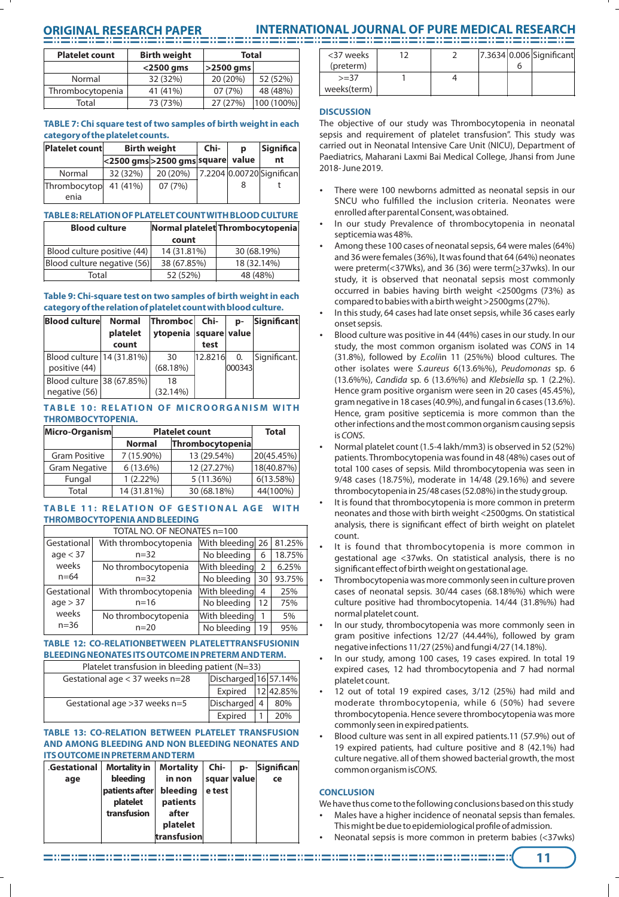# **ORIGINAL RESEARCH PAPER INTERNATIONAL JOURNAL OF PURE MEDICAL RESEARCH**

| <b>Platelet count</b> | <b>Birth weight</b> | <b>Total</b> |            |
|-----------------------|---------------------|--------------|------------|
|                       | $<$ 2500 gms        | $ >2500$ gms |            |
| Normal                | 32 (32%)            | 20 (20%)     | 52 (52%)   |
| Thrombocytopenia      | 41 (41%)            | 07(7%)       | 48 (48%)   |
| Total                 | 73 (73%)            | 27 (27%)     | 100 (100%) |

# **TABLE 7: Chi square test of two samples of birth weight in each category of the platelet counts.**

| <b>Platelet count</b> | <b>Birth weight</b> | Chi-                              | D | <b>Significa</b> |                           |
|-----------------------|---------------------|-----------------------------------|---|------------------|---------------------------|
|                       |                     | <2500 gms > 2500 gms square value |   |                  | nt                        |
| Normal                | 32 (32%)            | 20 (20%)                          |   |                  | 7.2204 0.00720 Significan |
| Thrombocytop          | 41 (41%)            | 07(7%)                            |   | 8                |                           |
| enia                  |                     |                                   |   |                  |                           |

# **TABLE 8: RELATION OF PLATELET COUNT WITH BLOOD CULTURE**

| <b>Blood culture</b>        |             | Normal platelet Thrombocytopenia |
|-----------------------------|-------------|----------------------------------|
|                             | count       |                                  |
| Blood culture positive (44) | 14 (31.81%) | 30 (68.19%)                      |
| Blood culture negative (56) | 38 (67.85%) | 18 (32.14%)                      |
| Total                       | 52 (52%)    | 48 (48%)                         |

## **Table 9: Chi-square test on two samples of birth weight in each category of the relation of platelet count with blood culture.**

| <b>Blood culture</b>        | <b>Normal</b><br>platelet | Thromboc<br>ytopenia square value | Chi-    | D-     | Significant  |
|-----------------------------|---------------------------|-----------------------------------|---------|--------|--------------|
|                             | count                     |                                   | test    |        |              |
| Blood culture   14 (31.81%) |                           | 30                                | 12.8216 | 0.     | Significant. |
| positive (44)               |                           | (68.18%)                          |         | 000343 |              |
| Blood culture 38 (67.85%)   |                           | 18                                |         |        |              |
| negative (56)               |                           | (32.14%)                          |         |        |              |

# TABLE 10: RELATION OF MICROORGANISM WITH **THROMBOCYTOPENIA.**

| Micro-Organism       | <b>Platelet count</b> | <b>Total</b>     |            |
|----------------------|-----------------------|------------------|------------|
|                      | <b>Normal</b>         | Thrombocytopenia |            |
| <b>Gram Positive</b> | 7 (15.90%)            | 13 (29.54%)      | 20(45.45%) |
| <b>Gram Negative</b> | 6(13.6%)              | 12 (27.27%)      | 18(40.87%) |
| Fungal               | $1(2.22\%)$           | 5(11.36%)        | 6(13.58%)  |
| Total                | 14 (31.81%)           | 30 (68.18%)      | 44(100%)   |

## TABLE 11: RELATION OF GESTIONAL AGE WITH **THROMBOCYTOPENIA AND BLEEDING**

| TOTAL NO. OF NEONATES n=100 |                       |                  |                |        |  |
|-----------------------------|-----------------------|------------------|----------------|--------|--|
| Gestational                 | With thrombocytopenia | With bleeding 26 |                | 81.25% |  |
| age < 37                    | $n = 32$              | No bleeding      | 6              | 18.75% |  |
| weeks                       | No thrombocytopenia   | With bleeding    | $\overline{2}$ | 6.25%  |  |
| $n = 64$                    | $n = 32$              | No bleeding      | 30             | 93.75% |  |
| Gestational                 | With thrombocytopenia | With bleeding    | $\overline{4}$ | 25%    |  |
| age > 37                    | $n = 16$              | No bleeding      | 12             | 75%    |  |
| weeks                       | No thrombocytopenia   | With bleeding    | 1              | 5%     |  |
| $n = 36$<br>$n = 20$        |                       | No bleeding      | 19             | 95%    |  |

# **TABLE 12: CO-RELATIONBETWEEN PLATELETTRANSFUSIONIN BLEEDING NEONATES ITS OUTCOME IN PRETERM AND TERM.**

| Platelet transfusion in bleeding patient ( $N=33$ ) |                      |  |     |  |
|-----------------------------------------------------|----------------------|--|-----|--|
| Gestational age $<$ 37 weeks n=28                   | Discharged 16 57.14% |  |     |  |
|                                                     | Expired   12 42.85%  |  |     |  |
| Gestational age $>37$ weeks n=5                     | Discharged 4         |  | 80% |  |
|                                                     | Expired              |  | 20% |  |

### **TABLE 13: CO-RELATION BETWEEN PLATELET TRANSFUSION AND AMONG BLEEDING AND NON BLEEDING NEONATES AND ITS OUTCOME IN PRETERM AND TERM**

| Gestational | <b>Mortality in</b> | <b>Mortality</b> | Chi-        | D- | <b>Significan</b> |
|-------------|---------------------|------------------|-------------|----|-------------------|
| age         | bleedina            | in non           | squar value |    | ce                |
|             | patients after      | bleeding         | e test      |    |                   |
|             | platelet            | patients         |             |    |                   |
|             | transfusion         | after            |             |    |                   |
|             |                     | platelet         |             |    |                   |
|             |                     | transfusion      |             |    |                   |

| <37 weeks   |  |  | 7.3634 0.006 Significant |
|-------------|--|--|--------------------------|
| (preterm)   |  |  |                          |
| $>=$ 37     |  |  |                          |
| weeks(term) |  |  |                          |

# **DISCUSSION**

The objective of our study was Thrombocytopenia in neonatal sepsis and requirement of platelet transfusion". This study was carried out in Neonatal Intensive Care Unit (NICU), Department of Paediatrics, Maharani Laxmi Bai Medical College, Jhansi from June 2018- June 2019.

- There were 100 newborns admitted as neonatal sepsis in our SNCU who fulfilled the inclusion criteria. Neonates were enrolled after parental Consent, was obtained.
- In our study Prevalence of thrombocytopenia in neonatal septicemia was 48%.
- Among these 100 cases of neonatal sepsis, 64 were males (64%) and 36 were females (36%), It was found that 64 (64%) neonates were preterm(<37Wks), and 36 (36) were term(>37wks). In our study, it is observed that neonatal sepsis most commonly occurred in babies having birth weight <2500gms (73%) as compared to babies with a birth weight >2500gms (27%).
- In this study, 64 cases had late onset sepsis, while 36 cases early onset sepsis.
- Blood culture was positive in 44 (44%) cases in our study. In our study, the most common organism isolated was CONS in 14 (31.8%), followed by E.coliin 11 (25%%) blood cultures. The other isolates were S.aureus 6(13.6%%), Peudomonas sp. 6 (13.6%%), Candida sp. 6 (13.6%%) and Klebsiella sp. 1 (2.2%). Hence gram positive organism were seen in 20 cases (45.45%), gram negative in 18 cases (40.9%), and fungal in 6 cases (13.6%). Hence, gram positive septicemia is more common than the other infections and the most common organism causing sepsis is CONS.
- Normal platelet count (1.5-4 lakh/mm3) is observed in 52 (52%) patients. Thrombocytopenia was found in 48 (48%) cases out of total 100 cases of sepsis. Mild thrombocytopenia was seen in 9/48 cases (18.75%), moderate in 14/48 (29.16%) and severe thrombocytopenia in 25/48 cases (52.08%) in the study group.
- It is found that thrombocytopenia is more common in preterm neonates and those with birth weight <2500gms. On statistical analysis, there is significant effect of birth weight on platelet count.
- It is found that thrombocytopenia is more common in gestational age <37wks. On statistical analysis, there is no significant effect of birth weight on gestational age.
- Thrombocytopenia was more commonly seen in culture proven cases of neonatal sepsis. 30/44 cases (68.18%%) which were culture positive had thrombocytopenia. 14/44 (31.8%%) had normal platelet count.
- In our study, thrombocytopenia was more commonly seen in gram positive infections 12/27 (44.44%), followed by gram negative infections 11/27 (25%) and fungi 4/27 (14.18%).
- In our study, among 100 cases, 19 cases expired. In total 19 expired cases, 12 had thrombocytopenia and 7 had normal platelet count.
- 12 out of total 19 expired cases, 3/12 (25%) had mild and moderate thrombocytopenia, while 6 (50%) had severe thrombocytopenia. Hence severe thrombocytopenia was more commonly seen in expired patients.
- Blood culture was sent in all expired patients.11 (57.9%) out of 19 expired patients, had culture positive and 8 (42.1%) had culture negative. all of them showed bacterial growth, the most common organism isCONS.

# **CONCLUSION**

We have thus come to the following conclusions based on this study

- Males have a higher incidence of neonatal sepsis than females.
- This might be due to epidemiological profile of admission. Neonatal sepsis is more common in preterm babies (<37wks)

**11**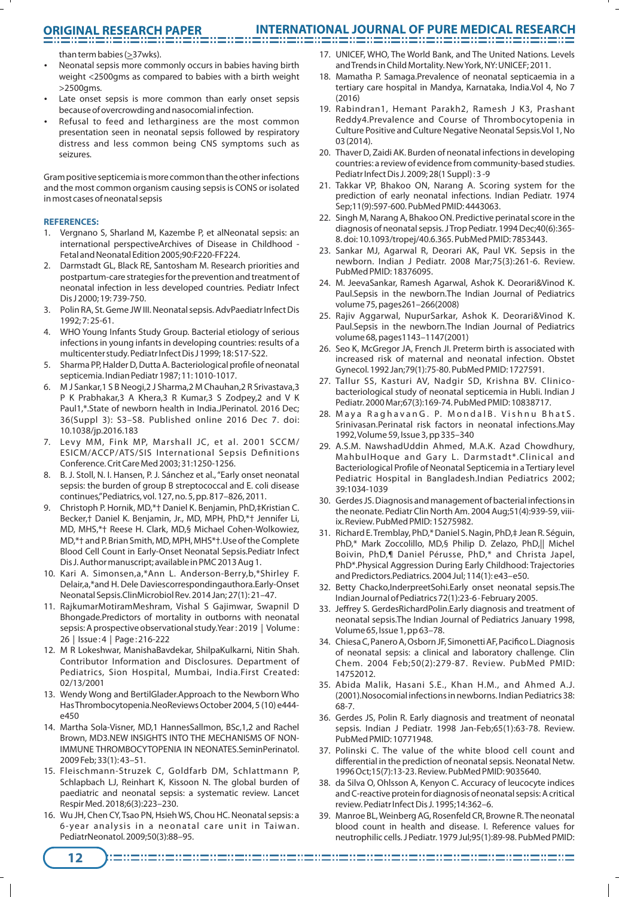# **ORIGINAL RESEARCH PAPER INTERNATIONAL JOURNAL OF PURE MEDICAL RESEARCH**

than term babies (>37wks).

- Neonatal sepsis more commonly occurs in babies having birth weight <2500gms as compared to babies with a birth weight >2500gms.
- Late onset sepsis is more common than early onset sepsis because of overcrowding and nasocomial infection.
- Refusal to feed and letharginess are the most common presentation seen in neonatal sepsis followed by respiratory distress and less common being CNS symptoms such as seizures.

Gram positive septicemia is more common than the other infections and the most common organism causing sepsis is CONS or isolated in most cases of neonatal sepsis

## **REFERENCES:**

- 1. Vergnano S, Sharland M, Kazembe P, et alNeonatal sepsis: an international perspectiveArchives of Disease in Childhood - Fetal and Neonatal Edition 2005;90:F220-FF224.
- 2. Darmstadt GL, Black RE, Santosham M. Research priorities and postpartum-care strategies for the prevention and treatment of neonatal infection in less developed countries. Pediatr Infect Dis J 2000; 19: 739-750.
- 3. Polin RA, St. Geme JW III. Neonatal sepsis. AdvPaediatr Infect Dis 1992; 7: 25-61.
- 4. WHO Young Infants Study Group. Bacterial etiology of serious infections in young infants in developing countries: results of a multicenter study. Pediatr Infect Dis J 1999; 18: S17-S22.
- 5. Sharma PP, Halder D, Dutta A. Bacteriological profile of neonatal septicemia. Indian Pediatr 1987; 11: 1010-1017.
- 6. M J Sankar,1 S B Neogi,2 J Sharma,2 M Chauhan,2 R Srivastava,3 P K Prabhakar,3 A Khera,3 R Kumar,3 S Zodpey,2 and V K Paul1,\*.State of newborn health in India.JPerinatol. 2016 Dec; 36(Suppl 3): S3–S8. Published online 2016 Dec 7. doi: 10.1038/jp.2016.183
- 7. Levy MM, Fink MP, Marshall JC, et al. 2001 SCCM/ ESICM/ACCP/ATS/SIS International Sepsis Definitions Conference. Crit Care Med 2003; 31:1250-1256.
- 8. B. J. Stoll, N. I. Hansen, P. J. Sánchez et al., "Early onset neonatal sepsis: the burden of group B streptococcal and E. coli disease continues,"Pediatrics, vol. 127, no. 5, pp. 817–826, 2011.
- 9. Christoph P. Hornik, MD,\*† Daniel K. Benjamin, PhD,‡Kristian C. Becker,† Daniel K. Benjamin, Jr., MD, MPH, PhD,\*† Jennifer Li, MD, MHS,\*† Reese H. Clark, MD,§ Michael Cohen-Wolkowiez, MD,\*† and P. Brian Smith, MD, MPH, MHS\*†.Use of the Complete Blood Cell Count in Early-Onset Neonatal Sepsis.Pediatr Infect Dis J. Author manuscript; available in PMC 2013 Aug 1.
- 10. Kari A. Simonsen,a,\*Ann L. Anderson-Berry,b,\*Shirley F. Delair,a,\*and H. Dele Daviescorrespondingauthora.Early-Onset Neonatal Sepsis.ClinMicrobiol Rev. 2014 Jan; 27(1): 21–47.
- 11. RajkumarMotiramMeshram, Vishal S Gajimwar, Swapnil D Bhongade.Predictors of mortality in outborns with neonatal sepsis: A prospective observational study.Year : 2019 | Volume : 26 | Issue : 4 | Page : 216-222
- 12. M R Lokeshwar, ManishaBavdekar, ShilpaKulkarni, Nitin Shah. Contributor Information and Disclosures. Department of Pediatrics, Sion Hospital, Mumbai, India.First Created: 02/13/2001
- 13. Wendy Wong and BertilGlader.Approach to the Newborn Who Has Thrombocytopenia.NeoReviews October 2004, 5 (10) e444 e450
- 14. Martha Sola-Visner, MD,1 HannesSallmon, BSc,1,2 and Rachel Brown, MD3.NEW INSIGHTS INTO THE MECHANISMS OF NON-IMMUNE THROMBOCYTOPENIA IN NEONATES.SeminPerinatol. 2009 Feb; 33(1): 43–51.
- 15. Fleischmann-Struzek C, Goldfarb DM, Schlattmann P, Schlapbach LJ, Reinhart K, Kissoon N. The global burden of paediatric and neonatal sepsis: a systematic review. Lancet Respir Med. 2018;6(3):223–230.
- 16. Wu JH, Chen CY, Tsao PN, Hsieh WS, Chou HC. Neonatal sepsis: a 6-year analysis in a neonatal care unit in Taiwan. PediatrNeonatol. 2009;50(3):88–95.
- 17. UNICEF, WHO, The World Bank, and The United Nations. Levels and Trends in Child Mortality. New York, NY: UNICEF; 2011.
- 18. Mamatha P. Samaga.Prevalence of neonatal septicaemia in a tertiary care hospital in Mandya, Karnataka, India.Vol 4, No 7 (2016)
- 19. Rabindran1, Hemant Parakh2, Ramesh J K3, Prashant Reddy4.Prevalence and Course of Thrombocytopenia in Culture Positive and Culture Negative Neonatal Sepsis.Vol 1, No 03 (2014).
- 20. Thaver D, Zaidi AK. Burden of neonatal infections in developing countries: a review of evidence from community-based studies. Pediatr Infect Dis J. 2009; 28(1 Suppl) : 3 -9
- 21. Takkar VP, Bhakoo ON, Narang A. Scoring system for the prediction of early neonatal infections. Indian Pediatr. 1974 Sep;11(9):597-600. PubMed PMID: 4443063.
- 22. Singh M, Narang A, Bhakoo ON. Predictive perinatal score in the diagnosis of neonatal sepsis. J Trop Pediatr. 1994 Dec;40(6):365- 8. doi: 10.1093/tropej/40.6.365. PubMed PMID: 7853443.
- 23. Sankar MJ, Agarwal R, Deorari AK, Paul VK. Sepsis in the newborn. Indian J Pediatr. 2008 Mar;75(3):261-6. Review. PubMed PMID: 18376095.
- 24. M. JeevaSankar, Ramesh Agarwal, Ashok K. Deorari&Vinod K. Paul.Sepsis in the newborn.The Indian Journal of Pediatrics volume 75, pages261–266(2008)
- 25. Rajiv Aggarwal, NupurSarkar, Ashok K. Deorari&Vinod K. Paul.Sepsis in the newborn.The Indian Journal of Pediatrics volume 68, pages1143–1147(2001)
- 26. Seo K, McGregor JA, French JI. Preterm birth is associated with increased risk of maternal and neonatal infection. Obstet Gynecol. 1992 Jan;79(1):75-80. PubMed PMID: 1727591.
- 27. Tallur SS, Kasturi AV, Nadgir SD, Krishna BV. Clinicobacteriological study of neonatal septicemia in Hubli. Indian J Pediatr. 2000 Mar;67(3):169-74. PubMed PMID: 10838717.
- 28. Maya RaghavanG. P. MondalB. Vishnu BhatS. Srinivasan.Perinatal risk factors in neonatal infections.May 1992, Volume 59, Issue 3, pp 335–340
- 29. A.S.M. NawshadUddin Ahmed, M.A.K. Azad Chowdhury, MahbulHoque and Gary L. Darmstadt\*.Clinical and Bacteriological Profile of Neonatal Septicemia in a Tertiary level Pediatric Hospital in Bangladesh.Indian Pediatrics 2002; 39:1034-1039
- 30. Gerdes JS. Diagnosis and management of bacterial infections in the neonate. Pediatr Clin North Am. 2004 Aug;51(4):939-59, viiiix. Review. PubMed PMID: 15275982.
- 31. Richard E. Tremblay, PhD,\* Daniel S. Nagin, PhD,‡ Jean R. Séguin, PhD,\* Mark Zoccolillo, MD,§ Philip D. Zelazo, PhD,|| Michel Boivin, PhD,¶ Daniel Pérusse, PhD,\* and Christa Japel, PhD\*.Physical Aggression During Early Childhood: Trajectories and Predictors.Pediatrics. 2004 Jul; 114(1): e43–e50.
- 32. Betty Chacko,InderpreetSohi.Early onset neonatal sepsis.The Indian Journal of Pediatrics 72(1):23-6 · February 2005.
- 33. Jeffrey S. GerdesRichardPolin.Early diagnosis and treatment of neonatal sepsis.The Indian Journal of Pediatrics January 1998, Volume 65, Issue 1, pp 63–78.
- 34. Chiesa C, Panero A, Osborn JF, Simonetti AF, Pacifico L. Diagnosis of neonatal sepsis: a clinical and laboratory challenge. Clin Chem. 2004 Feb;50(2):279-87. Review. PubMed PMID: 14752012.
- 35. Abida Malik, Hasani S.E., Khan H.M., and Ahmed A.J. (2001).Nosocomial infections in newborns. Indian Pediatrics 38: 68-7.
- 36. Gerdes JS, Polin R. Early diagnosis and treatment of neonatal sepsis. Indian J Pediatr. 1998 Jan-Feb;65(1):63-78. Review. PubMed PMID: 10771948.
- 37. Polinski C. The value of the white blood cell count and differential in the prediction of neonatal sepsis. Neonatal Netw. 1996 Oct;15(7):13-23. Review. PubMed PMID: 9035640.
- 38. da Silva O, Ohlsson A, Kenyon C. Accuracy of leucocyte indices and C-reactive protein for diagnosis of neonatal sepsis: A critical review. Pediatr Infect Dis J. 1995;14:362–6.
- 39. Manroe BL, Weinberg AG, Rosenfeld CR, Browne R. The neonatal blood count in health and disease. I. Reference values for neutrophilic cells. J Pediatr. 1979 Jul;95(1):89-98. PubMed PMID: